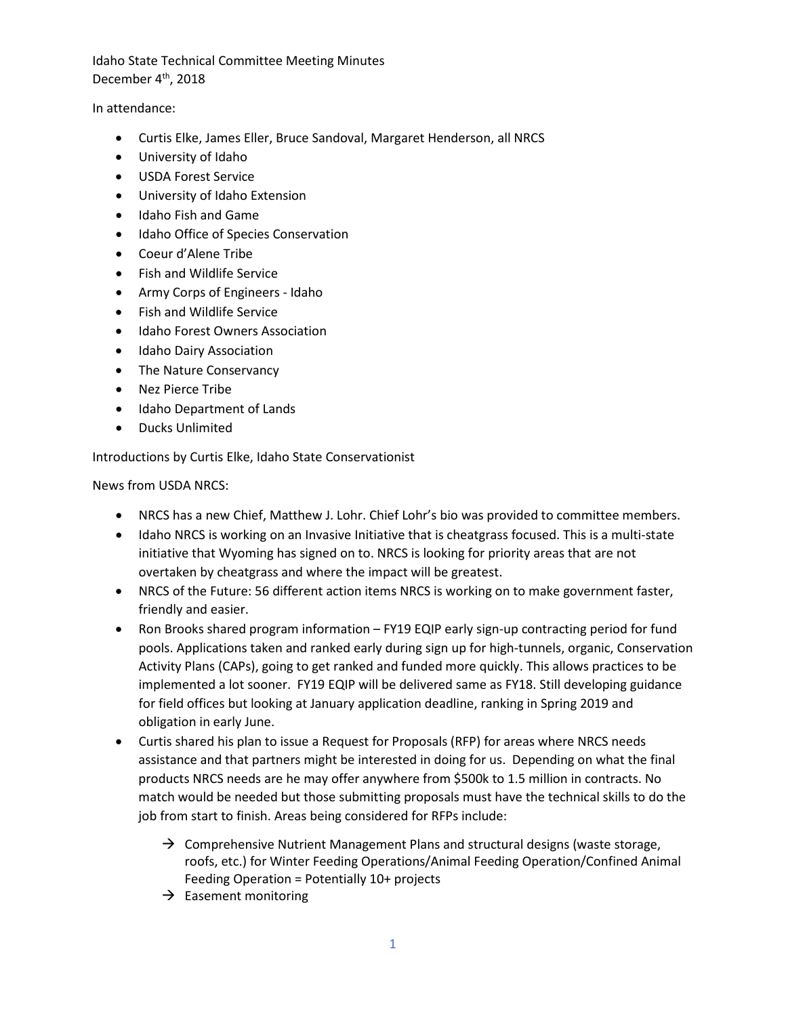Idaho State Technical Committee Meeting Minutes December 4<sup>th</sup>, 2018

In attendance:

- Curtis Elke, James Eller, Bruce Sandoval, Margaret Henderson, all NRCS
- University of Idaho
- USDA Forest Service
- University of Idaho Extension
- Idaho Fish and Game
- Idaho Office of Species Conservation
- Coeur d'Alene Tribe
- Fish and Wildlife Service
- Army Corps of Engineers Idaho
- Fish and Wildlife Service
- Idaho Forest Owners Association
- Idaho Dairy Association
- The Nature Conservancy
- Nez Pierce Tribe
- Idaho Department of Lands
- Ducks Unlimited

Introductions by Curtis Elke, Idaho State Conservationist

News from USDA NRCS:

- NRCS has a new Chief, Matthew J. Lohr. Chief Lohr's bio was provided to committee members.
- Idaho NRCS is working on an Invasive Initiative that is cheatgrass focused. This is a multi-state initiative that Wyoming has signed on to. NRCS is looking for priority areas that are not overtaken by cheatgrass and where the impact will be greatest.
- NRCS of the Future: 56 different action items NRCS is working on to make government faster, friendly and easier.
- Ron Brooks shared program information FY19 EQIP early sign-up contracting period for fund pools. Applications taken and ranked early during sign up for high-tunnels, organic, Conservation Activity Plans (CAPs), going to get ranked and funded more quickly. This allows practices to be implemented a lot sooner. FY19 EQIP will be delivered same as FY18. Still developing guidance for field offices but looking at January application deadline, ranking in Spring 2019 and obligation in early June.
- Curtis shared his plan to issue a Request for Proposals (RFP) for areas where NRCS needs assistance and that partners might be interested in doing for us. Depending on what the final products NRCS needs are he may offer anywhere from \$500k to 1.5 million in contracts. No match would be needed but those submitting proposals must have the technical skills to do the job from start to finish. Areas being considered for RFPs include:
	- $\rightarrow$  Comprehensive Nutrient Management Plans and structural designs (waste storage, roofs, etc.) for Winter Feeding Operations/Animal Feeding Operation/Confined Animal Feeding Operation = Potentially 10+ projects
	- $\rightarrow$  Easement monitoring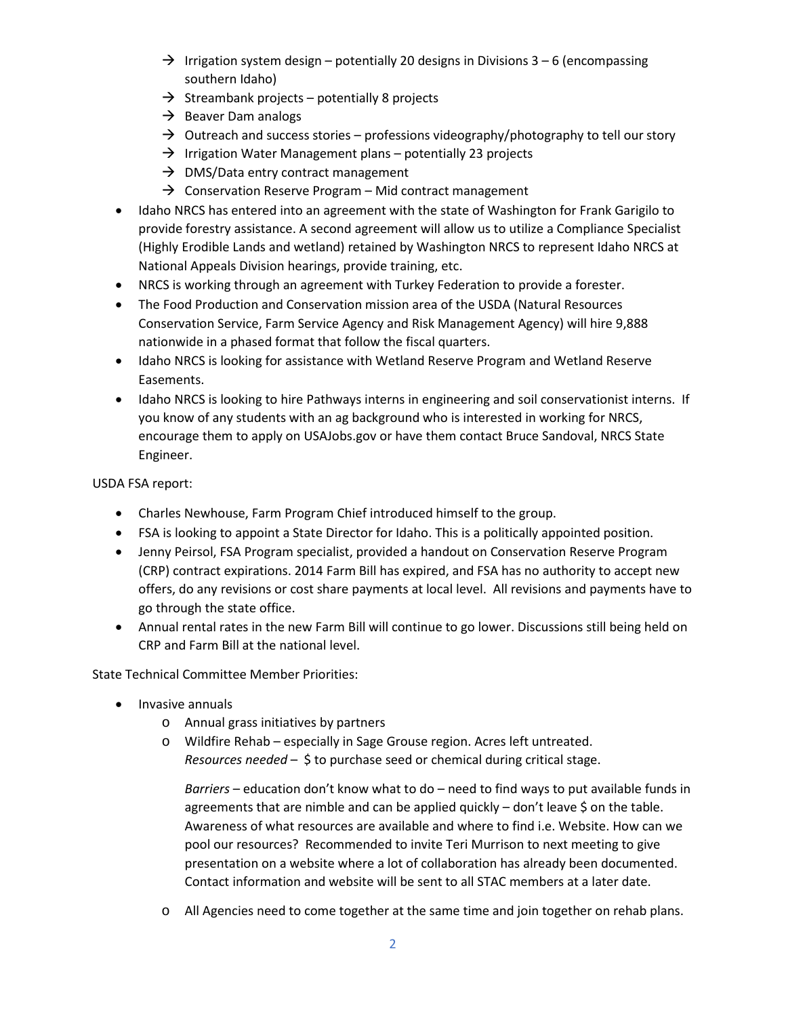- $\rightarrow$  Irrigation system design potentially 20 designs in Divisions 3 6 (encompassing southern Idaho)
- $\rightarrow$  Streambank projects potentially 8 projects
- $\rightarrow$  Beaver Dam analogs
- $\rightarrow$  Outreach and success stories professions videography/photography to tell our story
- $\rightarrow$  Irrigation Water Management plans potentially 23 projects
- $\rightarrow$  DMS/Data entry contract management
- $\rightarrow$  Conservation Reserve Program Mid contract management
- Idaho NRCS has entered into an agreement with the state of Washington for Frank Garigilo to provide forestry assistance. A second agreement will allow us to utilize a Compliance Specialist (Highly Erodible Lands and wetland) retained by Washington NRCS to represent Idaho NRCS at National Appeals Division hearings, provide training, etc.
- NRCS is working through an agreement with Turkey Federation to provide a forester.
- The Food Production and Conservation mission area of the USDA (Natural Resources Conservation Service, Farm Service Agency and Risk Management Agency) will hire 9,888 nationwide in a phased format that follow the fiscal quarters.
- Idaho NRCS is looking for assistance with Wetland Reserve Program and Wetland Reserve Easements.
- Idaho NRCS is looking to hire Pathways interns in engineering and soil conservationist interns. If you know of any students with an ag background who is interested in working for NRCS, encourage them to apply on USAJobs.gov or have them contact Bruce Sandoval, NRCS State Engineer.

USDA FSA report:

- Charles Newhouse, Farm Program Chief introduced himself to the group.
- FSA is looking to appoint a State Director for Idaho. This is a politically appointed position.
- Jenny Peirsol, FSA Program specialist, provided a handout on Conservation Reserve Program (CRP) contract expirations. 2014 Farm Bill has expired, and FSA has no authority to accept new offers, do any revisions or cost share payments at local level. All revisions and payments have to go through the state office.
- Annual rental rates in the new Farm Bill will continue to go lower. Discussions still being held on CRP and Farm Bill at the national level.

State Technical Committee Member Priorities:

- Invasive annuals
	- o Annual grass initiatives by partners
	- o Wildfire Rehab especially in Sage Grouse region. Acres left untreated. *Resources needed* – \$ to purchase seed or chemical during critical stage.

*Barriers* – education don't know what to do – need to find ways to put available funds in agreements that are nimble and can be applied quickly  $-$  don't leave \$ on the table. Awareness of what resources are available and where to find i.e. Website. How can we pool our resources? Recommended to invite Teri Murrison to next meeting to give presentation on a website where a lot of collaboration has already been documented. Contact information and website will be sent to all STAC members at a later date.

o All Agencies need to come together at the same time and join together on rehab plans.